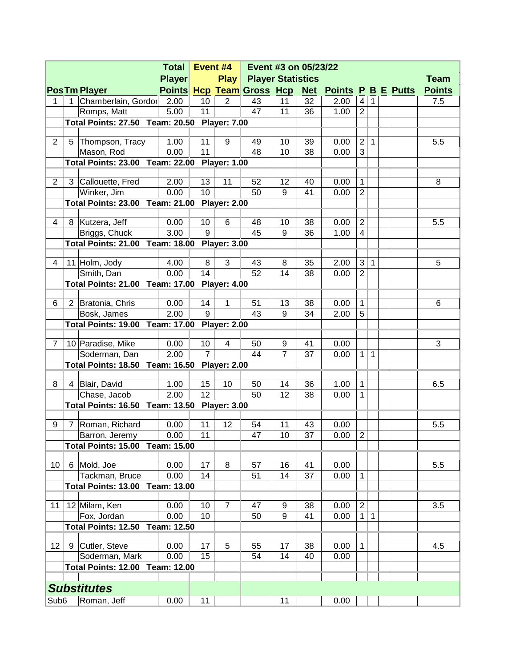|                  |   |                                              | <b>Total</b>  |                | Event #4       | Event #3 on 05/23/22          |                |          |                                                  |                                |              |  |               |
|------------------|---|----------------------------------------------|---------------|----------------|----------------|-------------------------------|----------------|----------|--------------------------------------------------|--------------------------------|--------------|--|---------------|
|                  |   |                                              | <b>Player</b> |                |                | <b>Play Player Statistics</b> |                |          |                                                  |                                |              |  | <b>Team</b>   |
|                  |   | <b>PosTm Player</b>                          |               |                |                |                               |                |          | Points Hcp Team Gross Hcp Net Points P B E Putts |                                |              |  | <b>Points</b> |
| 1                |   | 1 Chamberlain, Gordor 2.00                   |               | 10             | 2              | 43                            | 11             | 32       | 2.00                                             | 4                              | 1            |  | 7.5           |
|                  |   | Romps, Matt                                  | 5.00          | 11             |                | 47                            | 11             | 36       | 1.00                                             | $\overline{2}$                 |              |  |               |
|                  |   | Total Points: 27.50 Team: 20.50 Player: 7.00 |               |                |                |                               |                |          |                                                  |                                |              |  |               |
|                  |   |                                              |               |                |                |                               |                |          |                                                  |                                |              |  |               |
| $\overline{2}$   | 5 | Thompson, Tracy                              | 1.00          | 11             | 9              | 49                            | 10             | 39       | 0.00                                             | $\overline{2}$                 | $\mathbf{1}$ |  | 5.5           |
|                  |   | Mason, Rod                                   | 0.00          | 11             |                | 48                            | 10             | 38       | 0.00                                             | 3                              |              |  |               |
|                  |   | Total Points: 23.00 Team: 22.00 Player: 1.00 |               |                |                |                               |                |          |                                                  |                                |              |  |               |
|                  |   |                                              |               |                |                |                               |                |          |                                                  |                                |              |  | 8             |
| $\overline{2}$   |   | 3 Callouette, Fred<br>Winker, Jim            | 2.00<br>0.00  | 13<br>10       | 11             | 52<br>50                      | 12<br>9        | 40<br>41 | 0.00<br>0.00                                     | $\mathbf{1}$<br>$\overline{2}$ |              |  |               |
|                  |   | Total Points: 23.00 Team: 21.00 Player: 2.00 |               |                |                |                               |                |          |                                                  |                                |              |  |               |
|                  |   |                                              |               |                |                |                               |                |          |                                                  |                                |              |  |               |
| 4                |   | 8   Kutzera, Jeff                            | 0.00          | 10             | 6              | 48                            | 10             | 38       | 0.00                                             | $\overline{2}$                 |              |  | 5.5           |
|                  |   | Briggs, Chuck                                | 3.00          | 9              |                | 45                            | 9              | 36       | 1.00                                             | 4                              |              |  |               |
|                  |   | Total Points: 21.00 Team: 18.00 Player: 3.00 |               |                |                |                               |                |          |                                                  |                                |              |  |               |
|                  |   |                                              |               |                |                |                               |                |          |                                                  |                                |              |  |               |
| 4                |   | 11 Holm, Jody                                | 4.00          | 8              | 3              | 43                            | 8              | 35       | 2.00                                             | 3                              | $\mathbf{1}$ |  | 5             |
|                  |   | Smith, Dan                                   | 0.00          | 14             |                | 52                            | 14             | 38       | 0.00                                             | $\overline{2}$                 |              |  |               |
|                  |   | Total Points: 21.00 Team: 17.00 Player: 4.00 |               |                |                |                               |                |          |                                                  |                                |              |  |               |
|                  |   |                                              |               |                |                |                               |                |          |                                                  |                                |              |  |               |
| 6                |   | 2 Bratonia, Chris                            | 0.00          | 14             | $\mathbf{1}$   | 51                            | 13             | 38       | 0.00                                             | $\mathbf{1}$                   |              |  | 6             |
|                  |   | Bosk, James                                  | 2.00          | 9              |                | 43                            | 9              | 34       | 2.00                                             | 5                              |              |  |               |
|                  |   | Total Points: 19.00 Team: 17.00 Player: 2.00 |               |                |                |                               |                |          |                                                  |                                |              |  |               |
| 7                |   |                                              | 0.00          | 10             | 4              | 50                            | 9              |          | 0.00                                             |                                |              |  | 3             |
|                  |   | 10 Paradise, Mike<br>Soderman, Dan           | 2.00          | $\overline{7}$ |                | 44                            | $\overline{7}$ | 41<br>37 | 0.00                                             | $\mathbf{1}$                   | 1            |  |               |
|                  |   | Total Points: 18.50 Team: 16.50 Player: 2.00 |               |                |                |                               |                |          |                                                  |                                |              |  |               |
|                  |   |                                              |               |                |                |                               |                |          |                                                  |                                |              |  |               |
| 8                |   | 4 Blair, David                               | 1.00          | 15             | 10             | 50                            | 14             | 36       | 1.00                                             | $\mathbf{1}$                   |              |  | 6.5           |
|                  |   | Chase, Jacob                                 | 2.00          | 12             |                | 50                            | 12             | 38       | 0.00                                             | $\mathbf{1}$                   |              |  |               |
|                  |   | Total Points: 16.50 Team: 13.50 Player: 3.00 |               |                |                |                               |                |          |                                                  |                                |              |  |               |
|                  |   |                                              |               |                |                |                               |                |          |                                                  |                                |              |  |               |
| 9                | 7 | Roman, Richard                               | 0.00          | 11             | 12             | 54                            | 11             | 43       | 0.00                                             |                                |              |  | 5.5           |
|                  |   | Barron, Jeremy                               | 0.00          | 11             |                | 47                            | 10             | 37       | 0.00                                             | $\overline{2}$                 |              |  |               |
|                  |   | <b>Total Points: 15.00 Team: 15.00</b>       |               |                |                |                               |                |          |                                                  |                                |              |  |               |
|                  |   |                                              |               |                |                |                               |                |          |                                                  |                                |              |  |               |
| 10               | 6 | Mold, Joe                                    | 0.00          | 17             | 8              | 57                            | 16             | 41       | 0.00                                             |                                |              |  | 5.5           |
|                  |   | Tackman, Bruce                               | 0.00          | 14             |                | 51                            | 14             | 37       | 0.00                                             | $\mathbf{1}$                   |              |  |               |
|                  |   | Total Points: 13.00                          | Team: 13.00   |                |                |                               |                |          |                                                  |                                |              |  |               |
| 11               |   | 12 Milam, Ken                                | 0.00          | 10             | $\overline{7}$ | 47                            | 9              | 38       | 0.00                                             | $\overline{c}$                 |              |  | 3.5           |
|                  |   | Fox, Jordan                                  | 0.00          | 10             |                | 50                            | 9              | 41       | 0.00                                             | $\mathbf 1$                    | $\mathbf{1}$ |  |               |
|                  |   | Total Points: 12.50                          | Team: 12.50   |                |                |                               |                |          |                                                  |                                |              |  |               |
|                  |   |                                              |               |                |                |                               |                |          |                                                  |                                |              |  |               |
| 12               | 9 | Cutler, Steve                                | 0.00          | 17             | 5              | 55                            | 17             | 38       | 0.00                                             | 1                              |              |  | 4.5           |
|                  |   | Soderman, Mark                               | 0.00          | 15             |                | 54                            | 14             | 40       | 0.00                                             |                                |              |  |               |
|                  |   | Total Points: 12.00                          | Team: 12.00   |                |                |                               |                |          |                                                  |                                |              |  |               |
|                  |   |                                              |               |                |                |                               |                |          |                                                  |                                |              |  |               |
|                  |   | <b>Substitutes</b>                           |               |                |                |                               |                |          |                                                  |                                |              |  |               |
| Sub <sub>6</sub> |   | Roman, Jeff                                  | 0.00          | 11             |                |                               | 11             |          | 0.00                                             |                                |              |  |               |
|                  |   |                                              |               |                |                |                               |                |          |                                                  |                                |              |  |               |